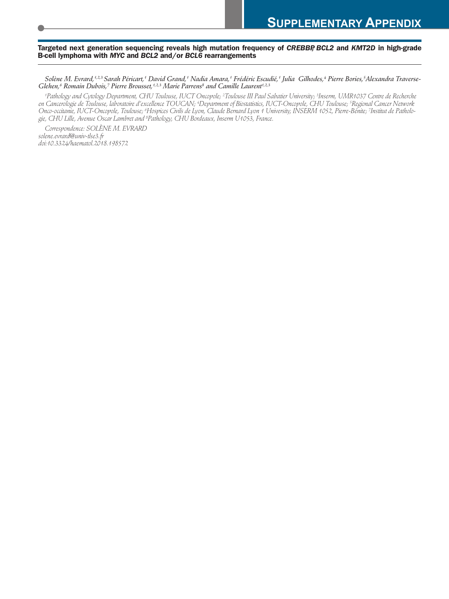#### **Targeted next generation sequencing reveals high mutation frequency of** *CREBBP, BCL2* **and** *KMT2D* **in high-grade B-cell lymphoma with** *MYC* **and** *BCL2* **and/or** *BCL6* **rearrangements**

Solène M. Evrard,<sup>1,2,3</sup> Sarah Péricart,† David Grand,† Nadia Amara,† Frédéric Escudié,† Julia Gilhodes,4 Pierre Bories,<sup>5</sup>Alexandra Traverse-*Glehen, <sup>6</sup> Romain Dubois, <sup>7</sup> Pierre Brousset, 1,2,3 Marie Parrens8 and Camille Laurent 1,2,3*

'Pathology and Cytology Department, CHU Toulouse, IUCT Oncopole; <sup>2</sup>Toulouse III Paul Sabatier University; <sup>3</sup>Inserm, UMR1037 Centre de Recherche en Cancerologie de Toulouse, laboratoire d'excellence TOUCAN; 4Department of Biostatistics, IUCT-Oncopole, CHU Toulouse; <sup>5</sup>Regional Cancer Network Onco-occitanie, IUCT-Oncopole, Toulouse; <sup>6</sup>Hospices Civils de Lyon, Claude Bernard Lyon 1 University, INSERM 1052, Pierre-Bénite; <sup>7</sup>Institut de Patholo*gie, CHU Lille, Avenue Oscar Lambret and <sup>8</sup> Pathology, CHU Bordeaux, Inserm U1053, France.*

*Correspondence: SOLÈNE M. EVRARD solene.evrard@univ-tlse3.fr doi:10.3324/haematol.2018.198572*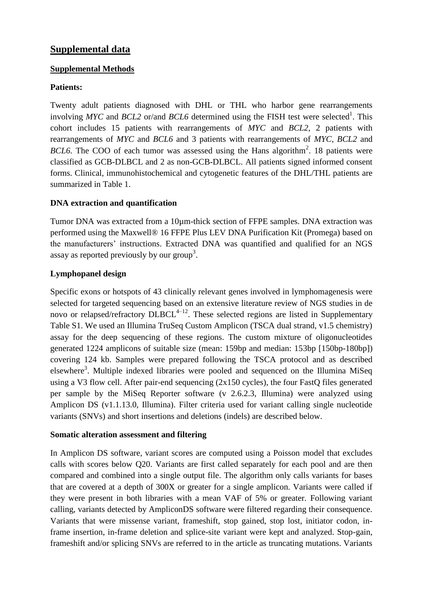## **Supplemental data**

### **Supplemental Methods**

## **Patients:**

Twenty adult patients diagnosed with DHL or THL who harbor gene rearrangements involving  $MYC$  and  $BCL2$  or/and  $BCL6$  determined using the FISH test were selected<sup>1</sup>. This cohort includes 15 patients with rearrangements of *MYC* and *BCL2*, 2 patients with rearrangements of *MYC* and *BCL6* and 3 patients with rearrangements of *MYC, BCL2* and *BCL6*. The COO of each tumor was assessed using the Hans algorithm<sup>2</sup>. 18 patients were classified as GCB-DLBCL and 2 as non-GCB-DLBCL. All patients signed informed consent forms. Clinical, immunohistochemical and cytogenetic features of the DHL/THL patients are summarized in Table 1.

## **DNA extraction and quantification**

Tumor DNA was extracted from a 10µm-thick section of FFPE samples. DNA extraction was performed using the Maxwell® 16 FFPE Plus LEV DNA Purification Kit (Promega) based on the manufacturers' instructions. Extracted DNA was quantified and qualified for an NGS assay as reported previously by our group<sup>3</sup>.

## **Lymphopanel design**

Specific exons or hotspots of 43 clinically relevant genes involved in lymphomagenesis were selected for targeted sequencing based on an extensive literature review of NGS studies in de novo or relapsed/refractory  $DLBCL^{4-12}$ . These selected regions are listed in Supplementary Table S1. We used an Illumina TruSeq Custom Amplicon (TSCA dual strand, v1.5 chemistry) assay for the deep sequencing of these regions. The custom mixture of oligonucleotides generated 1224 amplicons of suitable size (mean: 159bp and median: 153bp [150bp-180bp]) covering 124 kb. Samples were prepared following the TSCA protocol and as described elsewhere<sup>3</sup>. Multiple indexed libraries were pooled and sequenced on the Illumina MiSeq using a V3 flow cell. After pair-end sequencing (2x150 cycles), the four FastQ files generated per sample by the MiSeq Reporter software (v 2.6.2.3, Illumina) were analyzed using Amplicon DS (v1.1.13.0, Illumina). Filter criteria used for variant calling single nucleotide variants (SNVs) and short insertions and deletions (indels) are described below.

### **Somatic alteration assessment and filtering**

In Amplicon DS software, variant scores are computed using a Poisson model that excludes calls with scores below Q20. Variants are first called separately for each pool and are then compared and combined into a single output file. The algorithm only calls variants for bases that are covered at a depth of 300X or greater for a single amplicon. Variants were called if they were present in both libraries with a mean VAF of 5% or greater. Following variant calling, variants detected by AmpliconDS software were filtered regarding their consequence. Variants that were missense variant, frameshift, stop gained, stop lost, initiator codon, inframe insertion, in-frame deletion and splice-site variant were kept and analyzed. Stop-gain, frameshift and/or splicing SNVs are referred to in the article as truncating mutations. Variants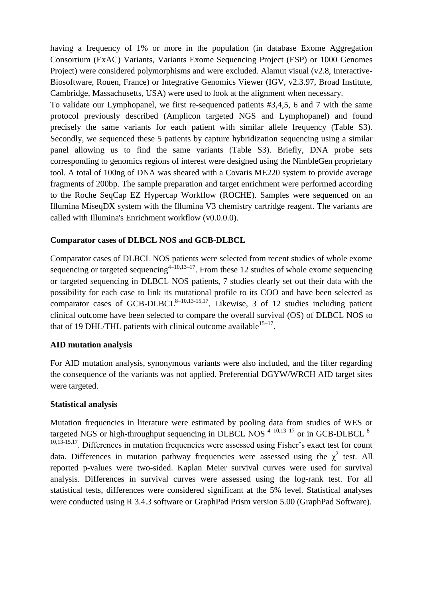having a frequency of 1% or more in the population (in database Exome Aggregation Consortium (ExAC) Variants, Variants Exome Sequencing Project (ESP) or 1000 Genomes Project) were considered polymorphisms and were excluded. Alamut visual (v2.8, Interactive-Biosoftware, Rouen, France) or Integrative Genomics Viewer (IGV, v2.3.97, Broad Institute, Cambridge, Massachusetts, USA) were used to look at the alignment when necessary.

To validate our Lymphopanel, we first re-sequenced patients #3,4,5, 6 and 7 with the same protocol previously described (Amplicon targeted NGS and Lymphopanel) and found precisely the same variants for each patient with similar allele frequency (Table S3). Secondly, we sequenced these 5 patients by capture hybridization sequencing using a similar panel allowing us to find the same variants (Table S3). Briefly, DNA probe sets corresponding to genomics regions of interest were designed using the NimbleGen proprietary tool. A total of 100ng of DNA was sheared with a Covaris ME220 system to provide average fragments of 200bp. The sample preparation and target enrichment were performed according to the Roche SeqCap EZ Hypercap Workflow (ROCHE). Samples were sequenced on an Illumina MiseqDX system with the Illumina V3 chemistry cartridge reagent. The variants are called with Illumina's Enrichment workflow (v0.0.0.0).

#### **Comparator cases of DLBCL NOS and GCB-DLBCL**

Comparator cases of DLBCL NOS patients were selected from recent studies of whole exome sequencing or targeted sequencing<sup>4–10,13–17</sup>. From these 12 studies of whole exome sequencing or targeted sequencing in DLBCL NOS patients, 7 studies clearly set out their data with the possibility for each case to link its mutational profile to its COO and have been selected as comparator cases of GCB-DLBCL<sup>8-10,13-15,17</sup>. Likewise, 3 of 12 studies including patient clinical outcome have been selected to compare the overall survival (OS) of DLBCL NOS to that of 19 DHL/THL patients with clinical outcome available<sup>15-17</sup>.

### **AID mutation analysis**

For AID mutation analysis, synonymous variants were also included, and the filter regarding the consequence of the variants was not applied. Preferential DGYW/WRCH AID target sites were targeted.

#### **Statistical analysis**

Mutation frequencies in literature were estimated by pooling data from studies of WES or targeted NGS or high-throughput sequencing in DLBCL NOS  $4-10,13-17$  or in GCB-DLBCL  $8-$ 10,13-15,17. Differences in mutation frequencies were assessed using Fisher's exact test for count data. Differences in mutation pathway frequencies were assessed using the  $\chi^2$  test. All reported p-values were two-sided. Kaplan Meier survival curves were used for survival analysis. Differences in survival curves were assessed using the log-rank test. For all statistical tests, differences were considered significant at the 5% level. Statistical analyses were conducted using R 3.4.3 software or GraphPad Prism version 5.00 (GraphPad Software).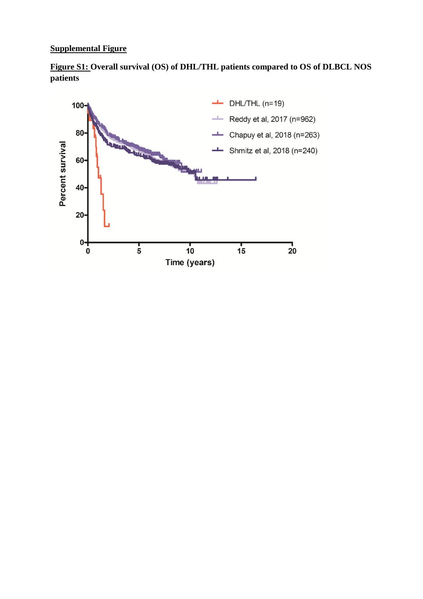## **Supplemental Figure**



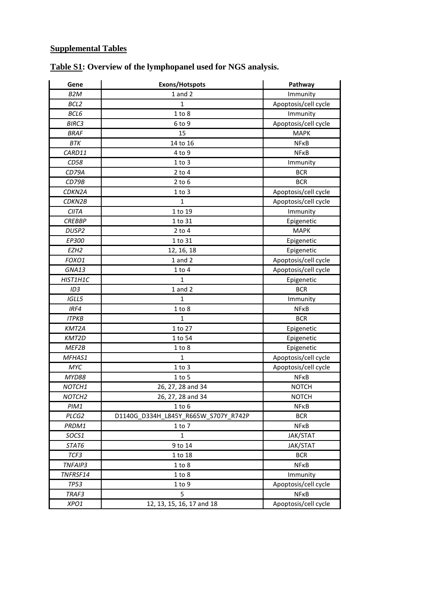## **Supplemental Tables**

| Gene               | Exons/Hotspots                       | Pathway              |  |  |  |
|--------------------|--------------------------------------|----------------------|--|--|--|
| B <sub>2</sub> M   | $1$ and $2$                          | Immunity             |  |  |  |
| BCL2               | $\mathbf{1}$                         | Apoptosis/cell cycle |  |  |  |
| BCL6               | 1 to 8                               | Immunity             |  |  |  |
| BIRC3              | 6 to 9                               | Apoptosis/cell cycle |  |  |  |
| <b>BRAF</b>        | 15                                   | <b>MAPK</b>          |  |  |  |
| BTK                | 14 to 16                             | <b>NFKB</b>          |  |  |  |
| CARD11             | 4 to 9                               | <b>NFKB</b>          |  |  |  |
| CD58               | $1$ to $3$                           | Immunity             |  |  |  |
| CD79A              | $2$ to $4$                           | <b>BCR</b>           |  |  |  |
| CD79B              | $2$ to $6$                           | <b>BCR</b>           |  |  |  |
| CDKN2A             | 1 to 3                               | Apoptosis/cell cycle |  |  |  |
| CDKN2B             | $\mathbf{1}$                         | Apoptosis/cell cycle |  |  |  |
| <b>CIITA</b>       | 1 to 19                              | Immunity             |  |  |  |
| <b>CREBBP</b>      | 1 to 31                              | Epigenetic           |  |  |  |
| DUSP <sub>2</sub>  | $2$ to $4$                           | <b>MAPK</b>          |  |  |  |
| EP300              | 1 to 31                              | Epigenetic           |  |  |  |
| EZH <sub>2</sub>   | 12, 16, 18                           | Epigenetic           |  |  |  |
| FOXO1              | $1$ and $2$                          | Apoptosis/cell cycle |  |  |  |
| GNA13              | $1$ to $4$                           | Apoptosis/cell cycle |  |  |  |
| HIST1H1C           | $\mathbf{1}$                         | Epigenetic           |  |  |  |
| ID <sub>3</sub>    | $1$ and $2$                          | <b>BCR</b>           |  |  |  |
| IGLL5              | 1                                    | Immunity             |  |  |  |
| IRF4               | 1 to 8                               | <b>NFKB</b>          |  |  |  |
| <b>ITPKB</b>       | 1                                    | <b>BCR</b>           |  |  |  |
| KMT2A              | 1 to 27                              | Epigenetic           |  |  |  |
| KMT2D              | 1 to 54                              | Epigenetic           |  |  |  |
| MEF2B              | 1 to 8                               | Epigenetic           |  |  |  |
| MFHAS1             | $\mathbf{1}$                         | Apoptosis/cell cycle |  |  |  |
| MYC                | $1$ to $3$                           | Apoptosis/cell cycle |  |  |  |
| MYD88              | $1$ to $5$                           | <b>NFKB</b>          |  |  |  |
| NOTCH1             | 26, 27, 28 and 34                    | <b>NOTCH</b>         |  |  |  |
| NOTCH <sub>2</sub> | 26, 27, 28 and 34                    | <b>NOTCH</b>         |  |  |  |
| PIM1               | $1$ to $6$                           | NFKB                 |  |  |  |
| PLCG2              | D1140G D334H L845Y R665W S707Y R742P | <b>BCR</b>           |  |  |  |
| PRDM1              | $1$ to $7$                           | <b>NFKB</b>          |  |  |  |
| SOCS1              | 1                                    | <b>JAK/STAT</b>      |  |  |  |
| STAT6              | 9 to 14                              | JAK/STAT             |  |  |  |
| TCF3               | 1 to 18                              | <b>BCR</b>           |  |  |  |
| TNFAIP3            | 1 to 8                               | <b>NFKB</b>          |  |  |  |
| TNFRSF14           | 1 to 8                               | Immunity             |  |  |  |
| <b>TP53</b>        | $1$ to $9$                           | Apoptosis/cell cycle |  |  |  |
| TRAF3              | 5                                    | <b>NFKB</b>          |  |  |  |
| XPO1               | 12, 13, 15, 16, 17 and 18            | Apoptosis/cell cycle |  |  |  |

# **Table S1: Overview of the lymphopanel used for NGS analysis.**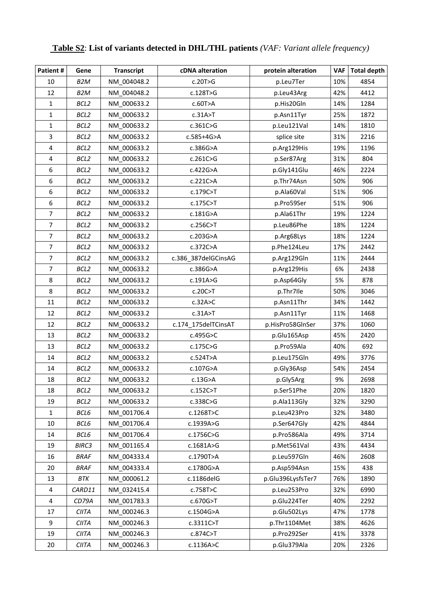| Patient #               | Gene             | <b>Transcript</b> | cDNA alteration     | protein alteration | <b>VAF</b> | <b>Total depth</b> |
|-------------------------|------------------|-------------------|---------------------|--------------------|------------|--------------------|
| 10                      | B <sub>2</sub> M | NM 004048.2       | c.20T>G             | p.Leu7Ter          | 10%        | 4854               |
| 12                      | B <sub>2</sub> M | NM 004048.2       | c.128T>G            | p.Leu43Arg         | 42%        | 4412               |
| 1                       | BCL <sub>2</sub> | NM 000633.2       | c.60T>A             | p.His20Gln         | 14%        | 1284               |
| $\mathbf{1}$            | BCL2             | NM 000633.2       | c.31A > T           | p.Asn11Tyr         | 25%        | 1872               |
| $\mathbf{1}$            | BCL2             | NM 000633.2       | c.361C > G          | p.Leu121Val        | 14%        | 1810               |
| 3                       | BCL <sub>2</sub> | NM 000633.2       | c.585+4G>A          | splice site        | 31%        | 2216               |
| $\pmb{4}$               | BCL <sub>2</sub> | NM_000633.2       | c.386G>A            | p.Arg129His        | 19%        | 1196               |
| $\overline{\mathbf{4}}$ | BCL <sub>2</sub> | NM 000633.2       | c.261C > G          | p.Ser87Arg         | 31%        | 804                |
| 6                       | BCL2             | NM 000633.2       | c.422G>A            | p.Gly141Glu        | 46%        | 2224               |
| 6                       | BCL <sub>2</sub> | NM 000633.2       | c.221C>A            | p.Thr74Asn         | 50%        | 906                |
| 6                       | BCL2             | NM_000633.2       | c.179C>T            | p.Ala60Val         | 51%        | 906                |
| 6                       | BCL <sub>2</sub> | NM 000633.2       | c.175C>T            | p.Pro59Ser         | 51%        | 906                |
| $\overline{7}$          | BCL <sub>2</sub> | NM_000633.2       | c.181G>A            | p.Ala61Thr         | 19%        | 1224               |
| $\overline{7}$          | BCL <sub>2</sub> | NM_000633.2       | c.256C > T          | p.Leu86Phe         | 18%        | 1224               |
| $\overline{7}$          | BCL <sub>2</sub> | NM 000633.2       | c.203G>A            | p.Arg68Lys         | 18%        | 1224               |
| $\overline{7}$          | BCL <sub>2</sub> | NM 000633.2       | c.372C>A            | p.Phe124Leu        | 17%        | 2442               |
| $\overline{7}$          | BCL <sub>2</sub> | NM 000633.2       | c.386 387delGCinsAG | p.Arg129Gln        | 11%        | 2444               |
| $\overline{7}$          | BCL <sub>2</sub> | NM 000633.2       | c.386G>A            | p.Arg129His        | 6%         | 2438               |
| 8                       | BCL <sub>2</sub> | NM 000633.2       | c.191A>G            | p.Asp64Gly         | 5%         | 878                |
| 8                       | BCL <sub>2</sub> | NM 000633.2       | c.20C > T           | p.Thr7lle          | 50%        | 3046               |
| 11                      | BCL <sub>2</sub> | NM_000633.2       | c.32A > C           | p.Asn11Thr         | 34%        | 1442               |
| 12                      | BCL2             | NM 000633.2       | c.31A > T           | p.Asn11Tyr         | 11%        | 1468               |
| 12                      | BCL2             | NM_000633.2       | c.174_175delTCinsAT | p.HisPro58GlnSer   | 37%        | 1060               |
| 13                      | BCL <sub>2</sub> | NM_000633.2       | c.495G>C            | p.Glu165Asp        | 45%        | 2420               |
| 13                      | BCL <sub>2</sub> | NM 000633.2       | c.175C > G          | p.Pro59Ala         | 40%        | 692                |
| 14                      | BCL <sub>2</sub> | NM_000633.2       | c.524T>A            | p.Leu175Gln        | 49%        | 3776               |
| 14                      | BCL <sub>2</sub> | NM_000633.2       | c.107G>A            | p.Gly36Asp         | 54%        | 2454               |
| 18                      | BCL <sub>2</sub> | NM_000633.2       | c.13G>A             | p.Gly5Arg          | 9%         | 2698               |
| 18                      | BCL2             | NM 000633.2       | c.152C > T          | p.Ser51Phe         | 20%        | 1820               |
| 19                      | BCL <sub>2</sub> | NM 000633.2       | c.338C > G          | p.Ala113Gly        | 32%        | 3290               |
| $\mathbf{1}$            | BCL6             | NM 001706.4       | c.1268T>C           | p.Leu423Pro        | 32%        | 3480               |
| 10                      | BCL6             | NM 001706.4       | c.1939A>G           | p.Ser647Gly        | 42%        | 4844               |
| 14                      | BCL6             | NM 001706.4       | c.1756C>G           | p.Pro586Ala        | 49%        | 3714               |
| 19                      | <b>BIRC3</b>     | NM 001165.4       | c.1681A>G           | p.Met561Val        | 43%        | 4434               |
| 16                      | <b>BRAF</b>      | NM_004333.4       | c.1790T>A           | p.Leu597Gln        | 46%        | 2608               |
| 20                      | <b>BRAF</b>      | NM 004333.4       | c.1780G>A           | p.Asp594Asn        | 15%        | 438                |
| 13                      | BTK              | NM 000061.2       | c.1186delG          | p.Glu396LysfsTer7  | 76%        | 1890               |
| 4                       | CARD11           | NM_032415.4       | c.758T>C            | p.Leu253Pro        | 32%        | 6990               |
| $\pmb{4}$               | CD79A            | NM 001783.3       | c.670G>T            | p.Glu224Ter        | 40%        | 2292               |
| 17                      | CIITA            | NM 000246.3       | c.1504G>A           | p.Glu502Lys        | 47%        | 1778               |
| 9                       | <b>CIITA</b>     | NM_000246.3       | c.3311C > T         | p.Thr1104Met       | 38%        | 4626               |
| 19                      | <b>CIITA</b>     | NM 000246.3       | c.874C>T            | p.Pro292Ser        | 41%        | 3378               |
| $20\,$                  | <b>CIITA</b>     | NM_000246.3       | c.1136A>C           | p.Glu379Ala        | 20%        | 2326               |

## **Table S2**: **List of variants detected in DHL/THL patients** *(VAF: Variant allele frequency)*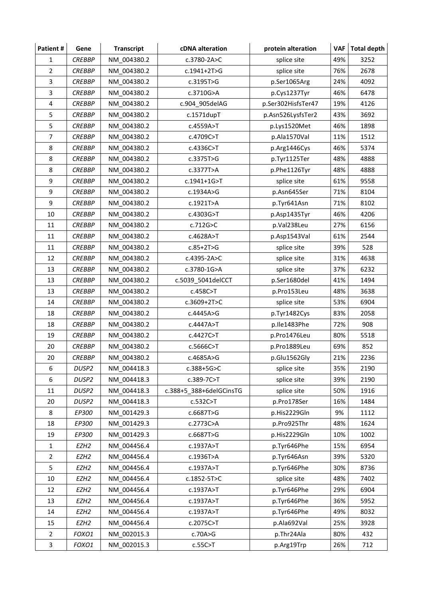| Patient#       | Gene              | <b>Transcript</b> | cDNA alteration         | protein alteration  | VAF | <b>Total depth</b> |
|----------------|-------------------|-------------------|-------------------------|---------------------|-----|--------------------|
| $\mathbf{1}$   | <b>CREBBP</b>     | NM 004380.2       | c.3780-2A>C             | splice site         | 49% | 3252               |
| $\overline{2}$ | <b>CREBBP</b>     | NM 004380.2       | c.1941+2T>G             | 76%<br>splice site  |     | 2678               |
| 3              | <b>CREBBP</b>     | NM_004380.2       | c.3195T>G               | p.Ser1065Arg<br>24% |     | 4092               |
| 3              | <b>CREBBP</b>     | NM 004380.2       | c.3710G>A               | 46%<br>p.Cys1237Tyr |     | 6478               |
| 4              | <b>CREBBP</b>     | NM 004380.2       | c.904_905delAG          | p.Ser302HisfsTer47  | 19% | 4126               |
| 5              | <b>CREBBP</b>     | NM 004380.2       | $c.1571$ dupT           | p.Asn526LysfsTer2   | 43% | 3692               |
| 5              | <b>CREBBP</b>     | NM 004380.2       | c.4559A>T               | p.Lys1520Met        | 46% | 1898               |
| 7              | <b>CREBBP</b>     | NM 004380.2       | c.4709C>T               | p.Ala1570Val        | 11% | 1512               |
| 8              | <b>CREBBP</b>     | NM 004380.2       | c.4336C>T               | p.Arg1446Cys        | 46% | 5374               |
| 8              | <b>CREBBP</b>     | NM 004380.2       | c.3375T>G               | p.Tyr1125Ter        | 48% | 4888               |
| 8              | <b>CREBBP</b>     | NM 004380.2       | c.3377T>A               | p.Phe1126Tyr        | 48% | 4888               |
| 9              | <b>CREBBP</b>     | NM 004380.2       | c.1941+1G>T             | splice site         | 61% | 9558               |
| 9              | <b>CREBBP</b>     | NM 004380.2       | c.1934A>G               | p.Asn645Ser         | 71% | 8104               |
| 9              | <b>CREBBP</b>     | NM 004380.2       | c.1921T>A               | p.Tyr641Asn         | 71% | 8102               |
| 10             | <b>CREBBP</b>     | NM_004380.2       | c.4303G>T               | p.Asp1435Tyr        | 46% | 4206               |
| 11             | <b>CREBBP</b>     | NM 004380.2       | c.712G > C              | p.Val238Leu         | 27% | 6156               |
| 11             | <b>CREBBP</b>     | NM 004380.2       | c.4628A>T               | p.Asp1543Val        | 61% | 2544               |
| 11             | <b>CREBBP</b>     | NM 004380.2       | $c.85+2T>G$             | splice site         | 39% | 528                |
| 12             | <b>CREBBP</b>     | NM 004380.2       | c.4395-2A>C             | splice site         | 31% | 4638               |
| 13             | <b>CREBBP</b>     | NM 004380.2       | c.3780-1G>A             | 37%<br>splice site  |     | 6232               |
| 13             | <b>CREBBP</b>     | NM 004380.2       | c.5039_5041delCCT       | p.Ser1680del        |     | 1494               |
| 13             | <b>CREBBP</b>     | NM_004380.2       | c.458C>T                | p.Pro153Leu         | 48% | 3638               |
| 14             | <b>CREBBP</b>     | NM 004380.2       | $c.3609 + 2T > C$       | splice site         | 53% | 6904               |
| 18             | <b>CREBBP</b>     | NM 004380.2       | c.4445A>G               | p.Tyr1482Cys        | 83% | 2058               |
| 18             | <b>CREBBP</b>     | NM 004380.2       | c.4447A>T               | p.lle1483Phe        | 72% | 908                |
| 19             | <b>CREBBP</b>     | NM_004380.2       | c.4427C>T               | p.Pro1476Leu        | 80% | 5518               |
| 20             | <b>CREBBP</b>     | NM_004380.2       | c.5666C>T               | p.Pro1889Leu        | 69% | 852                |
| 20             | <b>CREBBP</b>     | NM 004380.2       | c.4685A>G               | p.Glu1562Gly        | 21% | 2236               |
| 6              | DUSP <sub>2</sub> | NM 004418.3       | $c.388 + 5G > C$        | splice site         | 35% | 2190               |
| 6              | DUSP <sub>2</sub> | NM 004418.3       | c.389-7C>T              | splice site         | 39% | 2190               |
| 11             | DUSP <sub>2</sub> | NM 004418.3       | c.388+5_388+6delGCinsTG | splice site         | 50% | 1916               |
| 20             | DUSP <sub>2</sub> | NM 004418.3       | c.532C > T              | p.Pro178Ser         | 16% | 1484               |
| 8              | EP300             | NM 001429.3       | c.6687T>G               | p.His2229Gln        | 9%  | 1112               |
| 18             | EP300             | NM_001429.3       | c.2773C>A               | p.Pro925Thr         | 48% | 1624               |
| 19             | EP300             | NM 001429.3       | c.6687T>G               | p.His2229Gln        | 10% | 1002               |
| $\mathbf{1}$   | EZH <sub>2</sub>  | NM 004456.4       | c.1937A>T               | p.Tyr646Phe         | 15% | 6954               |
| $\overline{2}$ | EZH <sub>2</sub>  | NM 004456.4       | c.1936T>A               | p.Tyr646Asn         | 39% | 5320               |
| 5              | EZH <sub>2</sub>  | NM 004456.4       | c.1937A>T               | p.Tyr646Phe         | 30% | 8736               |
| $10\,$         | EZH <sub>2</sub>  | NM_004456.4       | c.1852-5T>C             | splice site         | 48% | 7402               |
| 12             | EZH <sub>2</sub>  | NM 004456.4       | c.1937A>T               | p.Tyr646Phe         | 29% | 6904               |
| 13             | EZH <sub>2</sub>  | NM 004456.4       | c.1937A>T               | p.Tyr646Phe         | 36% | 5952               |
| 14             | EZH <sub>2</sub>  | NM 004456.4       | c.1937A>T               | p.Tyr646Phe         | 49% | 8032               |
| 15             | EZH <sub>2</sub>  | NM 004456.4       | c.2075C>T               | p.Ala692Val         | 25% | 3928               |
| $\overline{2}$ | FOXO1             | NM_002015.3       | c.70A > G               | p.Thr24Ala          | 80% | 432                |
| 3              | FOXO1             | NM_002015.3       | c.55C>T                 | p.Arg19Trp          | 26% | 712                |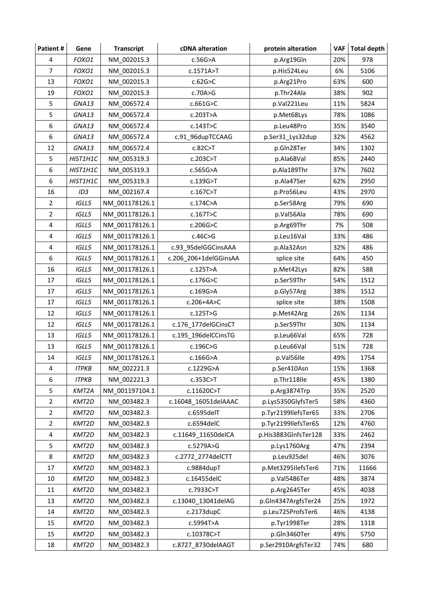| Patient#       | Gene            | <b>Transcript</b> | cDNA alteration       | protein alteration   | VAF | <b>Total depth</b> |
|----------------|-----------------|-------------------|-----------------------|----------------------|-----|--------------------|
| 4              | FOXO1           | NM 002015.3       | $c.56G$ >A            | p.Arg19Gln           | 20% | 978                |
| $\overline{7}$ | FOXO1           | NM 002015.3       | c.1571A>T             | 6%<br>p.His524Leu    |     | 5106               |
| 13             | FOXO1           | NM_002015.3       | c.62G > C             | p.Arg21Pro           | 63% | 600                |
| 19             | FOXO1           | NM 002015.3       | c.70A > G             | p.Thr24Ala<br>38%    |     | 902                |
| 5              | GNA13           | NM_006572.4       | c.661G>C              | p.Val221Leu          | 11% | 5824               |
| 5              | GNA13           | NM 006572.4       | c.203T>A              | p.Met68Lys           | 78% | 1086               |
| 6              | GNA13           | NM 006572.4       | c.143T>C              | p.Leu48Pro           | 35% | 3540               |
| 6              | GNA13           | NM 006572.4       | c.91 96dupTCCAAG      | p.Ser31_Lys32dup     | 32% | 4562               |
| 12             | GNA13           | NM_006572.4       | c.82C > T             | p.Gln28Ter           | 34% | 1302               |
| 5              | HIST1H1C        | NM 005319.3       | c.203C > T            | p.Ala68Val           | 85% | 2440               |
| 6              | HIST1H1C        | NM_005319.3       | c.565G>A              | p.Ala189Thr          | 37% | 7602               |
| 6              | HIST1H1C        | NM 005319.3       | c.139G>T              | p.Ala47Ser           | 62% | 2950               |
| 16             | ID <sub>3</sub> | NM 002167.4       | c.167C>T              | p.Pro56Leu           | 43% | 2970               |
| $\overline{2}$ | IGLL5           | NM_001178126.1    | c.174C>A              | p.Ser58Arg           | 79% | 690                |
| $\overline{2}$ | IGLL5           | NM_001178126.1    | c.167T>C              | p.Val56Ala           | 78% | 690                |
| 4              | <b>IGLL5</b>    | NM 001178126.1    | c.206G > C            | p.Arg69Thr           | 7%  | 508                |
| 4              | IGLL5           | NM 001178126.1    | c.46C > G             | p.Leu16Val           | 33% | 486                |
| 4              | IGLL5           | NM 001178126.1    | c.93 95delGGCinsAAA   | p.Ala32Asn           | 32% | 486                |
| 6              | IGLL5           | NM 001178126.1    | c.206_206+1delGGinsAA | 64%<br>splice site   |     | 450                |
| 16             | IGLL5           | NM 001178126.1    | c.125T>A              | 82%<br>p.Met42Lys    |     | 588                |
| 17             | IGLL5           | NM 001178126.1    | c.176G > C            | 54%<br>p.Ser59Thr    |     | 1512               |
| 17             | IGLL5           | NM_001178126.1    | c.169G>A              | p.Gly57Arg           |     | 1512               |
| 17             | IGLL5           | NM 001178126.1    | c.206+4A>C            | splice site          |     | 1508               |
| 12             | IGLL5           | NM 001178126.1    | c.125T>G              | p.Met42Arg           | 26% | 1134               |
| 12             | IGLL5           | NM 001178126.1    | c.176_177delGCinsCT   | p.Ser59Thr           | 30% | 1134               |
| 13             | IGLL5           | NM_001178126.1    | c.195_196delCCinsTG   | p.Leu66Val           | 65% | 728                |
| 13             | IGLL5           | NM_001178126.1    | c.196C>G              | p.Leu66Val           | 51% | 728                |
| 14             | <b>IGLL5</b>    | NM 001178126.1    | $c.166G$ >A           | p.Val56Ile           | 49% | 1754               |
| 4              | <b>ITPKB</b>    | NM 002221.3       | c.1229G>A             | p.Ser410Asn          | 15% | 1368               |
| 6              | <b>ITPKB</b>    | NM 002221.3       | c.353C>T              | p.Thr118Ile          | 45% | 1380               |
| 5              | KMT2A           | NM 001197104.1    | c.11620C>T            | p.Arg3874Trp         | 35% | 2520               |
| $\overline{2}$ | KMT2D           | NM_003482.3       | c.16048_16051delAAAC  | p.Lys5350GlyfsTer5   | 58% | 4360               |
| $\overline{2}$ | KMT2D           | NM 003482.3       | c.6595delT            | p.Tyr2199IlefsTer65  | 33% | 2706               |
| $\overline{2}$ | KMT2D           | NM_003482.3       | c.6594delC            | p.Tyr2199IlefsTer65  | 12% | 4760               |
| 4              | KMT2D           | NM 003482.3       | c.11649_11650delCA    | p.His3883GlnfsTer128 | 33% | 2462               |
| 5              | KMT2D           | NM 003482.3       | c.5279A>G             | p.Lys1760Arg         | 47% | 2394               |
| 8              | KMT2D           | NM 003482.3       | c.2772 2774delCTT     | p.Leu925del          | 46% | 3076               |
| 17             | KMT2D           | NM_003482.3       | c.9884dupT            | p.Met3295IlefsTer6   | 71% | 11666              |
| 10             | KMT2D           | NM 003482.3       | c.16455delC           | p.Val5486Ter         | 48% | 3874               |
| $11\,$         | KMT2D           | NM_003482.3       | c.7933C>T             | p.Arg2645Ter         | 45% | 4038               |
| 13             | KMT2D           | NM 003482.3       | c.13040_13041delAG    | p.Gln4347ArgfsTer24  | 25% | 1972               |
| 14             | KMT2D           | NM 003482.3       | c.2173dupC            | p.Leu725ProfsTer6    | 46% | 4138               |
| 15             | KMT2D           | NM_003482.3       | c.5994T>A             | p.Tyr1998Ter         | 28% | 1318               |
| 15             | KMT2D           | NM_003482.3       | c.10378C>T            | p.Gln3460Ter         | 49% | 5750               |
| 18             | KMT2D           | NM_003482.3       | c.8727_8730delAAGT    | p.Ser2910ArgfsTer32  | 74% | 680                |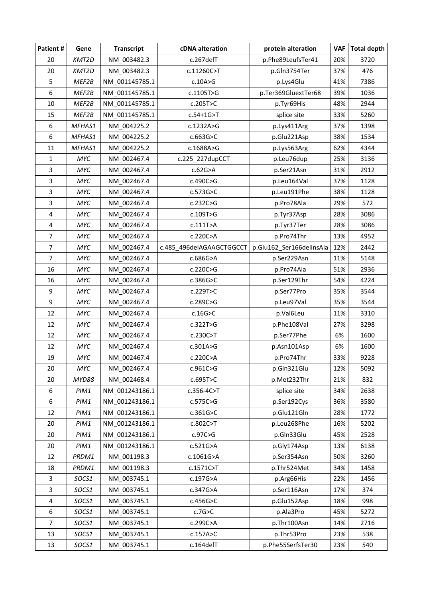| Patient#       | Gene         | <b>Transcript</b> | cDNA alteration          | protein alteration         | VAF | <b>Total depth</b> |
|----------------|--------------|-------------------|--------------------------|----------------------------|-----|--------------------|
| 20             | KMT2D        | NM 003482.3       | c.267delT                | p.Phe89LeufsTer41          | 20% | 3720               |
| 20             | KMT2D        | NM 003482.3       | c.11260C>T               | 37%<br>p.Gln3754Ter        |     | 476                |
| 5              | MEF2B        | NM_001145785.1    | c.10A>G                  | 41%<br>p.Lys4Glu           |     | 7386               |
| 6              | MEF2B        | NM 001145785.1    | c.1105T>G                | p.Ter369GluextTer68<br>39% |     | 1036               |
| 10             | MEF2B        | NM 001145785.1    | c.205T>C                 | p.Tyr69His                 | 48% | 2944               |
| 15             | MEF2B        | NM 001145785.1    | $c.54+1G>T$              | splice site                | 33% | 5260               |
| 6              | MFHAS1       | NM 004225.2       | c.1232A>G                | p.Lys411Arg                | 37% | 1398               |
| 6              | MFHAS1       | NM_004225.2       | c.663G > C               | p.Glu221Asp                | 38% | 1534               |
| 11             | MFHAS1       | NM_004225.2       | c.1688A>G                | p.Lys563Arg                | 62% | 4344               |
| $\mathbf{1}$   | MYC          | NM 002467.4       | c.225_227dupCCT          | p.Leu76dup                 | 25% | 3136               |
| 3              | MYC          | NM 002467.4       | c.62G>A                  | p.Ser21Asn                 | 31% | 2912               |
| 3              | MYC          | NM 002467.4       | c.490C>G                 | p.Leu164Val                | 37% | 1128               |
| 3              | MYC          | NM 002467.4       | c.573G>C                 | p.Leu191Phe                | 38% | 1128               |
| 3              | MYC          | NM_002467.4       | c.232C>G                 | p.Pro78Ala                 | 29% | 572                |
| 4              | MYC          | NM_002467.4       | c.109T>G                 | p.Tyr37Asp                 | 28% | 3086               |
| 4              | MYC          | NM 002467.4       | c.111T>A                 | p.Tyr37Ter                 | 28% | 3086               |
| $\overline{7}$ | MYC          | NM 002467.4       | c.220C>A                 | p.Pro74Thr                 | 13% | 4952               |
| 7              | MYC          | NM 002467.4       | c.485 496delAGAAGCTGGCCT | p.Glu162_Ser166delinsAla   | 12% | 2442               |
| $\overline{7}$ | <b>MYC</b>   | NM 002467.4       | c.686G>A                 | p.Ser229Asn                | 11% | 5148               |
| 16             | MYC          | NM_002467.4       | c.220C>G                 | 51%<br>p.Pro74Ala          |     | 2936               |
| 16             | MYC          | NM 002467.4       | c.386G > C               | 54%<br>p.Ser129Thr         |     | 4224               |
| 9              | MYC          | NM_002467.4       | c.229T>C                 | p.Ser77Pro                 |     | 3544               |
| 9              | MYC          | NM 002467.4       | c.289C>G                 | p.Leu97Val                 | 35% | 3544               |
| 12             | MYC          | NM 002467.4       | c.16G > C                | p.Val6Leu                  | 11% | 3310               |
| 12             | MYC          | NM_002467.4       | c.322T>G                 | p.Phe108Val                | 27% | 3298               |
| 12             | MYC          | NM_002467.4       | c.230C > T               | p.Ser77Phe                 | 6%  | 1600               |
| 12             | MYC          | NM_002467.4       | c.301A>G                 | p.Asn101Asp                | 6%  | 1600               |
| 19             | MYC          | NM 002467.4       | c.220C>A                 | p.Pro74Thr                 | 33% | 9228               |
| 20             | MYC          | NM 002467.4       | c.961C>G                 | p.Gln321Glu                | 12% | 5092               |
| 20             | <b>MYD88</b> | NM 002468.4       | c.695T>C                 | p.Met232Thr                | 21% | 832                |
| 6              | PIM1         | NM 001243186.1    | c.356-4C>T               | splice site                | 34% | 2638               |
| 6              | PIM1         | NM 001243186.1    | c.575C>G                 | p.Ser192Cys                | 36% | 3580               |
| 12             | PIM1         | NM 001243186.1    | c.361G>C                 | p.Glu121Gln                | 28% | 1772               |
| 20             | PIM1         | NM_001243186.1    | c.802C>T                 | p.Leu268Phe                | 16% | 5202               |
| 20             | PIM1         | NM 001243186.1    | c.97C > G                | p.Gln33Glu                 | 45% | 2528               |
| 20             | PIM1         | NM 001243186.1    | c.521G>A                 | p.Gly174Asp                | 13% | 6138               |
| 12             | PRDM1        | NM 001198.3       | c.1061G>A                | p.Ser354Asn                | 50% | 3260               |
| 18             | PRDM1        | NM_001198.3       | c.1571C>T                | p.Thr524Met                | 34% | 1458               |
| 3              | SOCS1        | NM 003745.1       | c.197G>A                 | p.Arg66His                 | 22% | 1456               |
| 3              | SOCS1        | NM_003745.1       | c.347G>A                 | p.Ser116Asn                | 17% | 374                |
| 4              | SOCS1        | NM 003745.1       | c.456G>C                 | p.Glu152Asp                | 18% | 998                |
| 6              | SOCS1        | NM 003745.1       | c.7G > C                 | p.Ala3Pro                  | 45% | 5272               |
| $\overline{7}$ | SOCS1        | NM 003745.1       | c.299C>A                 | p.Thr100Asn                | 14% | 2716               |
| 13             | SOCS1        | NM_003745.1       | c.157A>C                 | p.Thr53Pro                 | 23% | 538                |
| 13             | SOCS1        | NM_003745.1       | c.164delT                | p.Phe55SerfsTer30          | 23% | 540                |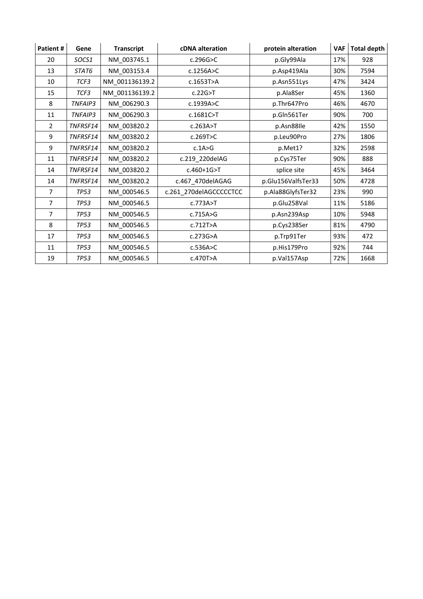| Patient #      | Gene            | <b>Transcript</b> | <b>cDNA</b> alteration | protein alteration | <b>VAF</b> | <b>Total depth</b> |
|----------------|-----------------|-------------------|------------------------|--------------------|------------|--------------------|
| 20             | SOCS1           | NM 003745.1       | c.296G > C             | p.Gly99Ala         | 17%        | 928                |
| 13             | STAT6           | NM 003153.4       | c.1256A > C            | p.Asp419Ala        | 30%        | 7594               |
| 10             | TCF3            | NM 001136139.2    | c.1653T>A              | p.Asn551Lys        | 47%        | 3424               |
| 15             | TCF3            | NM_001136139.2    | c.22G > T              | p.Ala8Ser          | 45%        | 1360               |
| 8              | TNFAIP3         | NM_006290.3       | c.1939A>C              | p.Thr647Pro        | 46%        | 4670               |
| 11             | TNFAIP3         | NM 006290.3       | $c.1681C>$ T           | p.Gln561Ter        | 90%        | 700                |
| 2              | TNFRSF14        | NM 003820.2       | c.263A > T             | p.Asn88lle         | 42%        | 1550               |
| 9              | TNFRSF14        | NM 003820.2       | c.269T>C               | p.Leu90Pro         | 27%        | 1806               |
| 9              | TNFRSF14        | NM 003820.2       | c.1A>G                 | p.Met1?            | 32%        | 2598               |
| 11             | <b>TNFRSF14</b> | NM 003820.2       | c.219_220delAG         | p.Cys75Ter         | 90%        | 888                |
| 14             | TNFRSF14        | NM_003820.2       | $c.460 + 1G > T$       | splice site        | 45%        | 3464               |
| 14             | TNFRSF14        | NM_003820.2       | c.467_470delAGAG       | p.Glu156ValfsTer33 | 50%        | 4728               |
| $\overline{7}$ | <b>TP53</b>     | NM 000546.5       | c.261_270delAGCCCCCTCC | p.Ala88GlyfsTer32  | 23%        | 990                |
| $\overline{7}$ | <b>TP53</b>     | NM 000546.5       | c.773A > T             | p.Glu258Val        | 11%        | 5186               |
| $\overline{7}$ | <b>TP53</b>     | NM 000546.5       | c.715A>G               | p.Asn239Asp        | 10%        | 5948               |
| 8              | <b>TP53</b>     | NM 000546.5       | c.712T>A               | p.Cys238Ser        | 81%        | 4790               |
| 17             | <b>TP53</b>     | NM_000546.5       | c.273G>A               | p.Trp91Ter         | 93%        | 472                |
| 11             | TP53            | NM_000546.5       | c.536A > C             | p.His179Pro        | 92%        | 744                |
| 19             | <b>TP53</b>     | NM 000546.5       | c.470T>A               | p.Val157Asp        | 72%        | 1668               |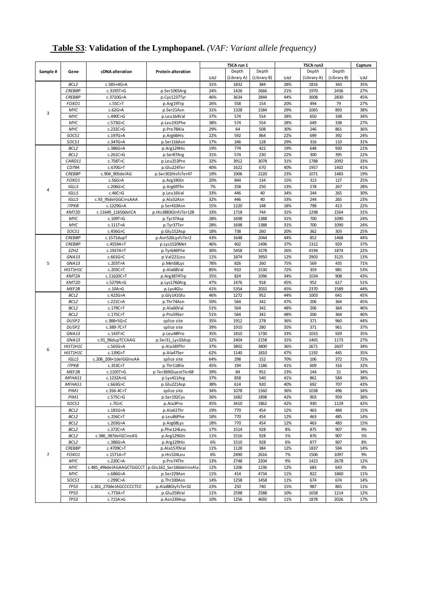| <b>Table S3: Validation of the Lymphopanel.</b> (VAF: Variant allele frequency) |  |  |  |
|---------------------------------------------------------------------------------|--|--|--|
|---------------------------------------------------------------------------------|--|--|--|

|                |                          |                          |                           |            | TSCA run 1   |             |            | TSCA run2    |              |            |  |
|----------------|--------------------------|--------------------------|---------------------------|------------|--------------|-------------|------------|--------------|--------------|------------|--|
| Sample #       | Gene                     | cDNA alteration          | <b>Protein alteration</b> |            | Depth        | Depth       |            | Depth        | Depth        | Capture    |  |
|                |                          |                          |                           | VAF        | (Library A)  | (Library B) | VAF        | (Library A)  | (Library B)  | VAF        |  |
|                | BCL2                     | c.585+4G>A               |                           | 31%        | 1832         | 384         | 28%        | 1816         | 343          | 35%        |  |
|                | <b>CREBBP</b>            | c.3195T>G                | p.Ser1065Arg              | 24%        | 1426         | 2666        | 21%        | 1970         | 2436         | 27%        |  |
|                | <b>CREBBP</b>            | c.3710G>A                | p.Cys1237Tyr              | 46%        | 3634         | 2844        | 44%        | 3008         | 2830         | 45%        |  |
|                | FOXO1                    | c.55C>T                  | p.Arg19Trp                | 26%        | 558          | 154         | 20%        | 494          | 79           | 27%        |  |
|                | MYC                      | c.62G>A                  | p.Ser21Asn                | 31%        | 1328         | 1584        | 29%        | 1065         | 893          | 38%        |  |
| 3              | MYC                      | c.490C>G                 | p.Leu164Val               | 37%        | 574          | 554         | 28%        | 650          | 338          | 34%        |  |
|                | MYC                      | c.573G>C                 |                           | 38%        | 574          | 554         | 28%        | 649          | 338          | 27%        |  |
|                | MYC                      | c.232C>G                 | p.Leu191Phe               | 29%        | 64           | 508         | 30%        | 246          | 861          | 36%        |  |
|                |                          |                          | p.Pro78Ala                | 22%        |              | 864         |            |              |              |            |  |
|                | SOCS1                    | c.197G>A                 | p.Arg66His                |            | 592          |             | 22%        | 699<br>316   | 392          | 24%<br>31% |  |
|                | SOCS1                    | c.347G>A                 | p.Ser116Asn               | 17%        | 246          | 128         | 29%        |              | 110          |            |  |
|                | BCL2                     | c.386G>A                 | p.Arg129His               | 19%        | 774          | 422         | 19%        | 648          | 930          | 21%        |  |
|                | BCL2                     | c.261C>G                 | p.Ser87Arg                | 31%        | 574          | 230         | 22%        | 300          | 395          | 22%        |  |
|                | CARD11<br>CD79A          | c.758T>C                 | p.Leu253Pro               | 32%<br>40% | 3912         | 3078<br>670 | 31%<br>40% | 1788<br>1957 | 2092<br>1402 | 33%<br>41% |  |
|                |                          | c.670G>T                 | p.Glu224Ter               |            | 1622         | 2220        | 23%        | 1071         |              |            |  |
|                | <b>CREBBP</b>            | c.904 905delAG           | p.Ser302HisfsTer47        | 19%        | 1906         |             |            |              | 1483         | 19%        |  |
|                | FOXO1                    | $c.56G$ >A               | p.Arg19Gln                | 20%        | 844          | 134         | 15%        | 313          | 127          | 25%        |  |
| 4              | <b>IGLL5</b>             | c.206G>C                 | p.Arg69Thr                | 7%         | 258          | 250         | 13%        | 278          | 267          | 28%        |  |
|                | IGLL5                    | c.46C > G                | p.Leu16Val                | 33%        | 446          | 40          | 34%        | 244          | 265          | 30%        |  |
|                | IGLL5                    | c.93 95delGGCinsAAA      | p.Ala32Asn                | 32%        | 446          | 40          | 33%        | 244          | 265          | 23%        |  |
|                | <b>ITPKB</b>             | c.1229G>A                | p.Ser410Asn               | 15%        | 1220         | 148<br>744  | 18%        | 798          | 413          | 22%        |  |
|                | KMT2D                    | c.11649 11650delCA       | p.His3883GInfsTer128      | 33%        | 1718         |             | 31%        | 1298         | 1564         | 31%        |  |
|                | MYC                      | c.109T>G                 | p.Tyr37Asp                | 28%        | 1698         | 1388        | 31%        | 700          | 1090         | 24%        |  |
|                | MYC                      | c.111T>A                 | p.Tyr37Ter                | 28%        | 1698         | 1388        | 31%<br>20% | 700          | 1090         | 24%        |  |
|                | SOCS1                    | c.456G>C                 | p.Glu152Asp               | 18%        | 738          | 260         |            | 362          | 303          | 25%        |  |
|                | <b>CREBBP</b>            | c.1571dupT               | p.Asn526LysfsTer2         | 43%        | 1648         | 2044        | 44%        | 852          | 1468         | 44%        |  |
|                | <b>CREBBP</b>            | c.4559A>T                | p.Lys1520Met              | 46%        | 402          | 1496        | 37%        | 1312         | 929          | 37%        |  |
|                | EZH <sub>2</sub>         | c.1937A>T                | p.Tyr646Phe               | 30%        | 5458         | 3278        | 26%        | 4194         | 1874         | 22%        |  |
|                | GNA13                    | c.661G>C                 | p.Val221Leu               | 11%        | 1874         | 3950        | 12%        | 2903         | 3125         | 13%        |  |
| 5              | GNA13                    | c.203T>A                 | p.Met68Lys                | 78%        | 826          | 260         | 75%        | 569          | 435          | 71%        |  |
|                | HIST1H1C                 | c.203C>T                 | p.Ala68Val                | 85%        | 910          | 1530        | 72%        | 359          | 981          | 53%        |  |
|                | KMT2A                    | c.11620C>T               | p.Arg3874Trp              | 35%        | 824          | 1096        | 34%<br>45% | 1034         | 908          | 43%        |  |
|                | KMT2D<br>MEF2B           | c.5279A>G                | p.Lys1760Arg              | 47%<br>41% | 1476<br>5354 | 918<br>2032 |            | 952<br>2370  | 617<br>1589  | 51%<br>44% |  |
|                |                          | c.10A > G                | p.Lys4Glu                 |            |              |             | 45%        |              |              |            |  |
|                | BCL2                     | c.422G>A                 | p.Gly141Glu               | 46%        | 1272         | 952         | 44%        | 1003         | 641          | 45%        |  |
|                | BCL <sub>2</sub>         | c.221C>A                 | p.Thr74Asn                | 50%<br>51% | 564<br>564   | 342<br>342  | 47%        | 206<br>206   | 364<br>364   | 45%<br>46% |  |
|                | BCL <sub>2</sub><br>BCL2 | c.179C>T<br>c.175C > T   | p.Ala60Val<br>p.Pro59Ser  | 51%        | 564          | 342         | 48%<br>48% | 206          | 364          | 46%        |  |
|                | DUSP <sub>2</sub>        | c.388+5G>C               | splice site               | 35%        | 1912         | 278         | 36%        | 371          | 960          | 44%        |  |
|                | DUSP <sub>2</sub>        | c.389-7C>T               | splice site               | 39%        | 1910         | 280         | 35%        | 371          | 961          | 37%        |  |
|                | GNA13                    | c.143T>C                 | p.Leu48Pro                | 35%        | 1810         | 1730        | 33%        | 1033         | 929          | 35%        |  |
|                | GNA13                    | c.91 96dupTCCAAG         | p.Ser31_Lys32dup          | 32%        | 2404         | 2158        | 31%        | 1465         | 1173         | 27%        |  |
|                | HIST1H1C                 | c.565G>A                 | p.Ala189Thr               | 37%        | 3802         | 3800        | 36%        | 2671         | 2607         | 34%        |  |
| 6              | HIST1H1C                 | c.139G>T                 | p.Ala47Ser                | 62%        | 1140         | 1810        | 47%        | 1192         | 445          | 35%        |  |
|                | IGLL5                    | c.206 206+1delGGinsAA    | splice site               | 64%        | 298          | 152         | 70%        | 106          | 372          | 72%        |  |
|                | <b>ITPKB</b>             | c.353C > T               | p.Thr118Ile               | 45%        | 194          | 1186        | 41%        | 609          | 316          | 32%        |  |
|                | MEF2B                    | c.1105T>G                | p.Ter369GluextTer68       | 39%        | 84           | 952         | 23%        | 144          | 31           | 34%        |  |
|                | MFHAS1                   | c.1232A>G                | p.Lys411Arg               | 37%        | 858          | 540         | 41%        | 861          | 584          | 38%        |  |
|                | MFHAS1                   | c.663G>C                 | p.Glu221Asp               | 38%        | 614          | 920         | 40%        | 692          | 707          | 43%        |  |
|                | PIM1                     | c.356-4C>T               | splice site               | 34%        | 1078         | 1560        | 36%        | 1038         | 496          | 34%        |  |
|                | PIM1                     | c.575C>G                 | p.Ser192Cys               | 36%        | 1682         | 1898        | 42%        | 903          | 959          | 38%        |  |
|                | SOCS1                    | c.7G > C                 | p.Ala3Pro                 | 45%        | 3410         | 1862        | 42%        | 930          | 1129         | 42%        |  |
|                | BCL <sub>2</sub>         | c.181G>A                 | p.Ala61Thr                | 19%        | 770          | 454         | 12%        | 463          | 484          | 15%        |  |
|                | BCL <sub>2</sub>         | c.256C>T                 | p.Leu86Phe                | 18%        | 770          | 454         | 12%        | 463          | 485          | 14%        |  |
|                | BCL2                     | c.203G>A                 | p.Arg68Lys                | 18%        | 770          | 454         | 12%        | 463          | 483          | 15%        |  |
|                | BCL2                     | c.372C>A                 | p.Phe124Leu               | 17%        | 1514         | 928         | 8%         | 875          | 907          | 9%         |  |
|                | BCL <sub>2</sub>         | c.386 387delGCinsAG      | p.Arg129Gln               | 11%        | 1516         | 928         | 5%         | 876          | 907          | 5%         |  |
|                | BCL2                     | c.386G>A                 | p.Arg129His               | 6%         | 1510         | 928         | 6%         | 877          | 907          | 8%         |  |
|                | <b>CREBBP</b>            | c.4709C>T                | p.Ala1570Val              | 11%        | 1128         | 384         | 12%        | 1837         | 594          | 14%        |  |
| $\overline{7}$ | FOXO1                    | c.1571A>T                | p.His524Leu               | 6%         | 2490         | 2616        | 7%         | 1506         | 1097         | 9%         |  |
|                | MYC                      | c.220C>A                 | p.Pro74Thr                | 13%        | 2748         | 2204        | 9%         | 1423         | 2678         | 12%        |  |
|                | MYC                      | c.485 496delAGAAGCTGGCCT | p.Glu162 Ser166delinsAla  | 12%        | 1206         | 1236        | 12%        | 683          | 643          | 9%         |  |
|                | MYC                      | c.686G>A                 | p.Ser229Asn               | 11%        | 414          | 4734        | 11%        | 822          | 1860         | 11%        |  |
|                | SOCS1                    | c.299C>A                 | p.Thr100Asn               | 14%        | 1258         | 1458        | 11%        | 674          | 674          | 14%        |  |
|                | <b>TP53</b>              | c.261 270delAGCCCCCTCC   | p.Ala88GlyfsTer32         | 23%        | 250          | 740         | 15%        | 987          | 865          | 11%        |  |
|                | <b>TP53</b>              | c.773A>T                 | p.Glu258Val               | 11%        | 2598         | 2588        | 10%        | 1658         | 1214         | 12%        |  |
|                | <b>TP53</b>              | c.715A>G                 | p.Asn239Asp               | 10%        | 1256         | 4692        | 11%        | 1878         | 2026         | 17%        |  |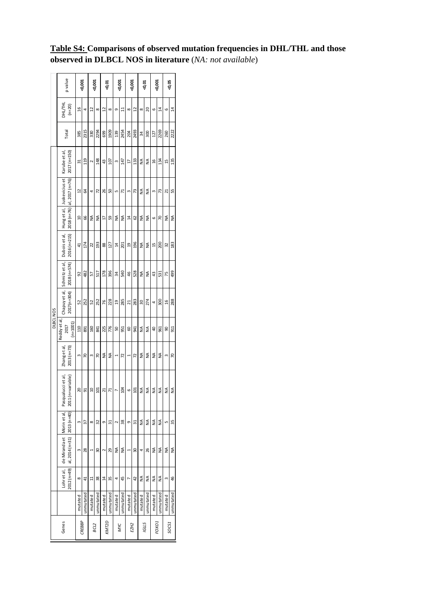|           | p value                                          |                | <0,001    |          | <0,001       |                | <0,01        |                | <0,001    |                | <0,001           |               | <0,01         | <0,001         |                | ⊲0,05         |           |
|-----------|--------------------------------------------------|----------------|-----------|----------|--------------|----------------|--------------|----------------|-----------|----------------|------------------|---------------|---------------|----------------|----------------|---------------|-----------|
|           | DHL/THL<br>$(n=20)$                              | $\overline{a}$ | 4         | 2        | ${}^{\circ}$ | 51             | ${}^{\circ}$ | Ō              | ដ         | ${}^{\circ}$   | 51               | $\infty$      | ನಿ            | 6              | $\overline{4}$ | 6             | 14        |
|           | Total                                            | 385            | 2315      | 330      | 2294         | 699            | 1909         | 39             | 2454      | 204            | 2493             | ≵             | 300           | 127            | 2269           | 260           | 2222      |
|           | 2017 (n=150)<br>Karube et al                     | ಸ              | 119       | $\sim$   | 148          | 43             | 107          | 3              | 147       | H              | 133              | ≸             | ≸             | $\overline{a}$ | 134            | 15            | 135       |
|           | Juskevicius et<br>$al, 2017(n=76)$               | 2              | S         | 4        | 72           | 26             | ន            | L              | 71        | S              | 73               | $\frac{4}{2}$ | $\frac{4}{2}$ | 3              | 13             | ដ             | 55        |
|           | $2018(n=76)$<br>Hunget al,                       | ្អ             | 66        | ≸        | ≸            | H              | S)           | ≸              | ≸         | $\overline{a}$ | S                | ≸             | ≸             | 6              | 5              | ≸             | ≸         |
|           | 2016 (n=215)<br>Dubois et al                     | 4              | 174       | 22       | 193          | 88             | 127          | 24             | 201       | g              | 196              | ≸             | ≸             | 15             | 200            | 32            | 183       |
|           | Schmitz et al<br>2018 (n=574)                    | 95             | 482       | 57       | 517          | 178            | 396          | 54             | 540       | 46             | 528              | ≸             | ₹             | ₿              | 531            | 75            | 499       |
|           | Chapuy et al,<br>2017(n=304)                     | 52             | 252       | 52       | 252          | 76             | 228          | g              | 285       | 21             | 283              | 50            | 274           | 4              | 800            | $\frac{6}{2}$ | 288       |
| DLBCL NOS | Reddy et al<br>$(n=1001$<br>2017                 | 110            | 891       | 160      | 841          | 225            | 776          | ន              | 951       | 8              | 541              | ≸             | ≸             | ੩              | 961            | Ձ             | 51        |
|           | $2013(n=73)$<br>Zhang et al,                     | 3              | R         | 3        | 5            | ≸              | ≸            | $\overline{ }$ | 72        | 1              | 72               | ≸             | ≸             | ≸              | ≸              | 3             | 50        |
|           | variable)<br>icci et al<br>$2011(n=$<br>Pasqualu |                | òj        |          | å            |                |              |                | 104       |                | ຊ                | z             | z             | z              | z              | ž             | z         |
|           | Morin et al,                                     | $\mathsf{S}$   | 57        | $\infty$ | 32           | o              | ಸ            | 2              | 38        | Ō              | ಸ                | ≸             | ≸             | ≸              | ≸              | S             | 35        |
|           | al, $2014(n=31)$ $ 2013(n=40) $<br>de Miranda et | 3              | 28        |          | 30           | 2              | 29           | ≸              | ≸         |                | 50               | 4             | 26            | ≸              | ≸              | ≸             | ≸         |
|           | $2012 (n=49)$<br>Lohret al,                      | $\infty$       | 41        | ።        | 38           | $\overline{a}$ | 35           | 4              | 45        |                | 42               | ≸             | ≸             | ≸              | ≸              | m             | 46        |
|           |                                                  | mutated        | unmutated | mutated  | unmutated    | mutated        | unmutated    | mutated        | unmutated | mutated        | unmutated        | mutated       | unmutated     | mutated        | unmutated      | mutated       | unmutated |
|           | <b>CREBBP</b><br>Genes                           |                |           |          | BCL2         | KMT2D          |              |                | MNC       |                | EZH <sub>2</sub> |               | <b>GLL5</b>   |                | FOXO1          |               | SOCS1     |

## **Table S4: Comparisons of observed mutation frequencies in DHL/THL and those observed in DLBCL NOS in literature** (*NA: not available*)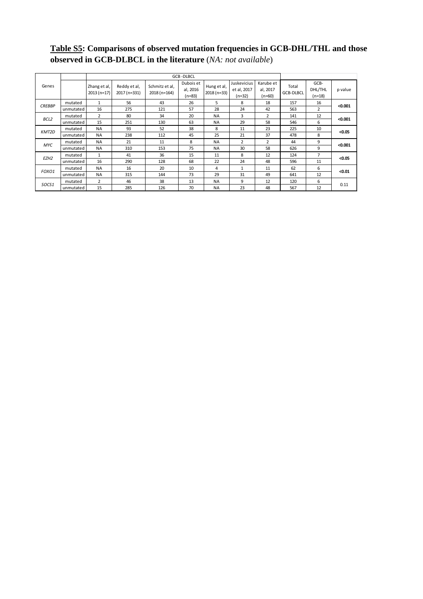## **Table S5: Comparisons of observed mutation frequencies in GCB-DHL/THL and those observed in GCB-DLBCL in the literature** (*NA: not available*)

|                  |           |                              |                              |                                | <b>GCB-DLBCL</b>                  |                            |                                      |                                   |                           |                             |         |  |  |
|------------------|-----------|------------------------------|------------------------------|--------------------------------|-----------------------------------|----------------------------|--------------------------------------|-----------------------------------|---------------------------|-----------------------------|---------|--|--|
| Genes            |           | Zhang et al,<br>$2013(n=17)$ | Reddy et al,<br>2017 (n=331) | Schmitz et al,<br>2018 (n=164) | Dubois et<br>al, 2016<br>$(n=83)$ | Hung et al,<br>2018 (n=33) | Juskevicius<br>et al, 2017<br>(n=32) | Karube et<br>al, 2017<br>$(n=60)$ | Total<br><b>GCB-DLBCL</b> | GCB-<br>DHL/THL<br>$(n=18)$ | p value |  |  |
| <b>CREBBP</b>    | mutated   | $\mathbf{1}$                 | 56                           | 43                             | 26                                | 5                          | 8                                    | 18                                | 157                       | 16                          | < 0.001 |  |  |
|                  | unmutated | 16                           | 275                          | 121                            | 57                                | 28                         | 24                                   | 42                                | 563                       | $\overline{2}$              |         |  |  |
| BCL2             | mutated   | $\overline{2}$               | 80                           | 34                             | 20                                | <b>NA</b>                  | 3                                    | $\overline{2}$                    | 141                       | 12                          | < 0.001 |  |  |
|                  | unmutated | 15                           | 251                          | 130                            | 63                                | <b>NA</b>                  | 29                                   | 58                                | 546                       | 6                           |         |  |  |
| KMT2D            | mutated   | <b>NA</b>                    | 93                           | 52                             | 38                                | 8                          | 11                                   | 23                                | 225                       | 10                          | < 0.05  |  |  |
|                  | unmutated | <b>NA</b>                    | 238                          | 112                            | 45                                | 25                         | 21                                   | 37                                | 478                       | 8                           |         |  |  |
| <b>MYC</b>       | mutated   | <b>NA</b>                    | 21                           | 11                             | 8                                 | <b>NA</b>                  | $\overline{2}$                       | $\overline{2}$                    | 44                        | 9                           | < 0.001 |  |  |
|                  | unmutated | <b>NA</b>                    | 310                          | 153                            | 75                                | <b>NA</b>                  | 30                                   | 58                                | 626                       | 9                           |         |  |  |
| EZH <sub>2</sub> | mutated   | $\mathbf{1}$                 | 41                           | 36                             | 15                                | 11                         | 8                                    | 12                                | 124                       | 7                           | < 0.05  |  |  |
|                  | unmutated | 16                           | 290                          | 128                            | 68                                | 22                         | 24                                   | 48                                | 596                       | 11                          |         |  |  |
| FOXO1            | mutated   | <b>NA</b>                    | 16                           | 20                             | 10                                | 4                          | $\mathbf{1}$                         | 11                                | 62                        | 6                           | < 0.01  |  |  |
|                  | unmutated | <b>NA</b>                    | 315                          | 144                            | 73                                | 29                         | 31                                   | 49                                | 641                       | 12                          |         |  |  |
| SOCS1            | mutated   | $\overline{2}$               | 46                           | 38                             | 13                                | <b>NA</b>                  | 9                                    | 12                                | 120                       | 6                           | 0.11    |  |  |
|                  | unmutated | 15                           | 285                          | 126                            | 70                                | NA                         | 23                                   | 48                                | 567                       | 12                          |         |  |  |
|                  |           |                              |                              |                                |                                   |                            |                                      |                                   |                           |                             |         |  |  |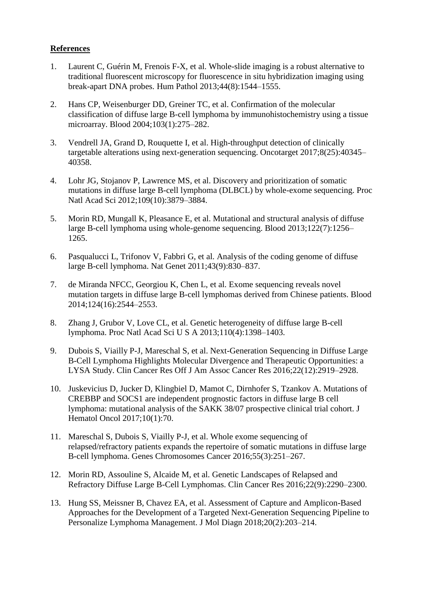#### **References**

- 1. Laurent C, Guérin M, Frenois F-X, et al. Whole-slide imaging is a robust alternative to traditional fluorescent microscopy for fluorescence in situ hybridization imaging using break-apart DNA probes. Hum Pathol 2013;44(8):1544–1555.
- 2. Hans CP, Weisenburger DD, Greiner TC, et al. Confirmation of the molecular classification of diffuse large B-cell lymphoma by immunohistochemistry using a tissue microarray. Blood 2004;103(1):275–282.
- 3. Vendrell JA, Grand D, Rouquette I, et al. High-throughput detection of clinically targetable alterations using next-generation sequencing. Oncotarget 2017;8(25):40345– 40358.
- 4. Lohr JG, Stojanov P, Lawrence MS, et al. Discovery and prioritization of somatic mutations in diffuse large B-cell lymphoma (DLBCL) by whole-exome sequencing. Proc Natl Acad Sci 2012;109(10):3879–3884.
- 5. Morin RD, Mungall K, Pleasance E, et al. Mutational and structural analysis of diffuse large B-cell lymphoma using whole-genome sequencing. Blood 2013;122(7):1256– 1265.
- 6. Pasqualucci L, Trifonov V, Fabbri G, et al. Analysis of the coding genome of diffuse large B-cell lymphoma. Nat Genet 2011;43(9):830–837.
- 7. de Miranda NFCC, Georgiou K, Chen L, et al. Exome sequencing reveals novel mutation targets in diffuse large B-cell lymphomas derived from Chinese patients. Blood 2014;124(16):2544–2553.
- 8. Zhang J, Grubor V, Love CL, et al. Genetic heterogeneity of diffuse large B-cell lymphoma. Proc Natl Acad Sci U S A 2013;110(4):1398–1403.
- 9. Dubois S, Viailly P-J, Mareschal S, et al. Next-Generation Sequencing in Diffuse Large B-Cell Lymphoma Highlights Molecular Divergence and Therapeutic Opportunities: a LYSA Study. Clin Cancer Res Off J Am Assoc Cancer Res 2016;22(12):2919–2928.
- 10. Juskevicius D, Jucker D, Klingbiel D, Mamot C, Dirnhofer S, Tzankov A. Mutations of CREBBP and SOCS1 are independent prognostic factors in diffuse large B cell lymphoma: mutational analysis of the SAKK 38/07 prospective clinical trial cohort. J Hematol Oncol 2017;10(1):70.
- 11. Mareschal S, Dubois S, Viailly P-J, et al. Whole exome sequencing of relapsed/refractory patients expands the repertoire of somatic mutations in diffuse large B-cell lymphoma. Genes Chromosomes Cancer 2016;55(3):251–267.
- 12. Morin RD, Assouline S, Alcaide M, et al. Genetic Landscapes of Relapsed and Refractory Diffuse Large B-Cell Lymphomas. Clin Cancer Res 2016;22(9):2290–2300.
- 13. Hung SS, Meissner B, Chavez EA, et al. Assessment of Capture and Amplicon-Based Approaches for the Development of a Targeted Next-Generation Sequencing Pipeline to Personalize Lymphoma Management. J Mol Diagn 2018;20(2):203–214.